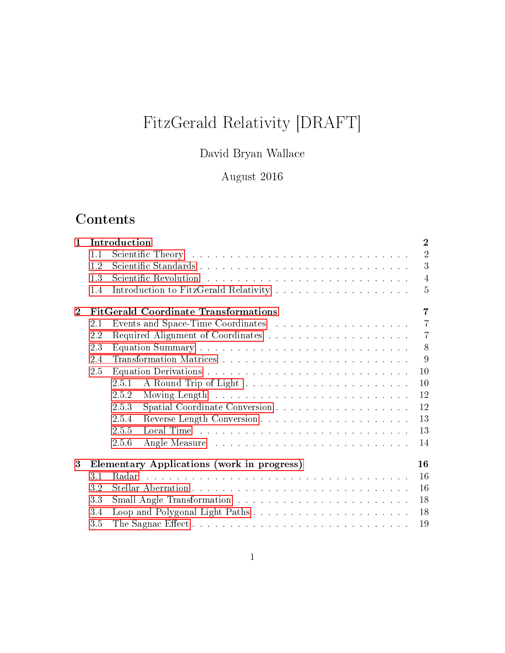# FitzGerald Relativity [DRAFT]

## David Bryan Wallace

## August 2016

## Contents

| $\mathbf{1}$ |     | $\overline{2}$<br>Introduction                                                                                   |  |  |  |  |  |  |  |  |
|--------------|-----|------------------------------------------------------------------------------------------------------------------|--|--|--|--|--|--|--|--|
|              | 1.1 | $\overline{2}$                                                                                                   |  |  |  |  |  |  |  |  |
|              | 1.2 | 3                                                                                                                |  |  |  |  |  |  |  |  |
|              | 1.3 | $\overline{4}$                                                                                                   |  |  |  |  |  |  |  |  |
|              | 1.4 | $\overline{5}$                                                                                                   |  |  |  |  |  |  |  |  |
| $\mathbf{2}$ |     | <b>FitGerald Coordinate Transformations</b><br>$\overline{7}$                                                    |  |  |  |  |  |  |  |  |
|              | 2.1 | $\overline{7}$                                                                                                   |  |  |  |  |  |  |  |  |
|              | 2.2 | $\overline{7}$                                                                                                   |  |  |  |  |  |  |  |  |
|              | 2.3 | 8                                                                                                                |  |  |  |  |  |  |  |  |
|              | 2.4 | 9                                                                                                                |  |  |  |  |  |  |  |  |
|              | 2.5 | 10                                                                                                               |  |  |  |  |  |  |  |  |
|              |     | 10<br>2.5.1                                                                                                      |  |  |  |  |  |  |  |  |
|              |     | 12<br>2.5.2                                                                                                      |  |  |  |  |  |  |  |  |
|              |     | 12<br>2.5.3                                                                                                      |  |  |  |  |  |  |  |  |
|              |     | 13<br>2.5.4                                                                                                      |  |  |  |  |  |  |  |  |
|              |     | 13<br>2.5.5                                                                                                      |  |  |  |  |  |  |  |  |
|              |     | 2.5.6<br>14                                                                                                      |  |  |  |  |  |  |  |  |
| 3            |     | Elementary Applications (work in progress)<br>16                                                                 |  |  |  |  |  |  |  |  |
|              | 3.1 | 16<br>المتحدث والمتحدث والمتحدث والمتحدث والمتحدث والمتحدث والمتحدث والمتحدث والمتحدث والمتحدث والمتحدث<br>Radar |  |  |  |  |  |  |  |  |
|              | 3.2 | 16                                                                                                               |  |  |  |  |  |  |  |  |
|              | 3.3 | 18                                                                                                               |  |  |  |  |  |  |  |  |
|              | 3.4 | 18                                                                                                               |  |  |  |  |  |  |  |  |
|              | 3.5 | 19                                                                                                               |  |  |  |  |  |  |  |  |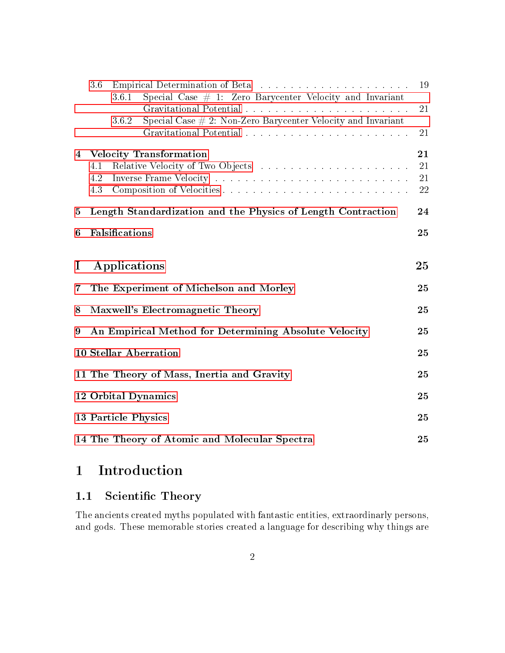|                | 3.6                                           |                                                                          | 19                   |  |  |  |
|----------------|-----------------------------------------------|--------------------------------------------------------------------------|----------------------|--|--|--|
|                |                                               | 3.6.1<br>Special Case $\#$ 1: Zero Barycenter Velocity and Invariant     | 21                   |  |  |  |
|                |                                               | Special Case $\#$ 2: Non-Zero Barycenter Velocity and Invariant<br>3.6.2 | 21                   |  |  |  |
| $\overline{4}$ | 4.1<br>4.2<br>4.3                             | <b>Velocity Transformation</b>                                           | 21<br>21<br>21<br>22 |  |  |  |
| $\bf{5}$       |                                               | Length Standardization and the Physics of Length Contraction             | 24                   |  |  |  |
| 6              | Falsifications                                |                                                                          |                      |  |  |  |
| $\bf{I}$<br>7  |                                               | Applications<br>The Experiment of Michelson and Morley                   | 25<br>25             |  |  |  |
| 8              | Maxwell's Electromagnetic Theory<br>25        |                                                                          |                      |  |  |  |
| 9              |                                               | An Empirical Method for Determining Absolute Velocity                    | 25                   |  |  |  |
|                |                                               | <b>10 Stellar Aberration</b>                                             | 25                   |  |  |  |
|                |                                               | 11 The Theory of Mass, Inertia and Gravity                               | 25                   |  |  |  |
|                |                                               | 12 Orbital Dynamics                                                      | 25                   |  |  |  |
|                |                                               | <b>13 Particle Physics</b>                                               | 25                   |  |  |  |
|                | 14 The Theory of Atomic and Molecular Spectra |                                                                          |                      |  |  |  |

## <span id="page-1-0"></span>1 Introduction

## <span id="page-1-1"></span>1.1 Scientific Theory

The ancients created myths populated with fantastic entities, extraordinarly persons, and gods. These memorable stories created a language for describing why things are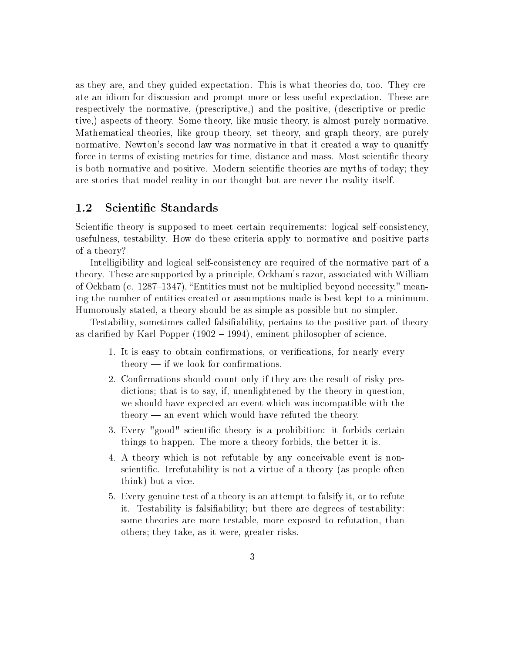as they are, and they guided expectation. This is what theories do, too. They create an idiom for discussion and prompt more or less useful expectation. These are respectively the normative, (prescriptive,) and the positive, (descriptive or predictive,) aspects of theory. Some theory, like music theory, is almost purely normative. Mathematical theories, like group theory, set theory, and graph theory, are purely normative. Newton's second law was normative in that it created a way to quanitfy force in terms of existing metrics for time, distance and mass. Most scientific theory is both normative and positive. Modern scientific theories are myths of today; they are stories that model reality in our thought but are never the reality itself.

#### <span id="page-2-0"></span>1.2 Scientific Standards

Scientific theory is supposed to meet certain requirements: logical self-consistency, usefulness, testability. How do these criteria apply to normative and positive parts of a theory?

Intelligibility and logical self-consistency are required of the normative part of a theory. These are supported by a principle, Ockham's razor, associated with William of Ockham (c. 1287–1347), "Entities must not be multiplied beyond necessity," meaning the number of entities created or assumptions made is best kept to a minimum. Humorously stated, a theory should be as simple as possible but no simpler.

Testability, sometimes called falsiability, pertains to the positive part of theory as clarified by Karl Popper  $(1902 - 1994)$ , eminent philosopher of science.

- 1. It is easy to obtain confirmations, or verifications, for nearly every theory  $\frac{1}{\sqrt{1-\frac{1}{\sqrt{1-\frac{1}{\sqrt{1-\frac{1}{\sqrt{1-\frac{1}{\sqrt{1-\frac{1}{\sqrt{1-\frac{1}{\sqrt{1-\frac{1}{\sqrt{1-\frac{1}{\sqrt{1-\frac{1}{\sqrt{1-\frac{1}{\sqrt{1-\frac{1}{\sqrt{1-\frac{1}{\sqrt{1-\frac{1}{\sqrt{1-\frac{1}{\sqrt{1-\frac{1}{\sqrt{1-\frac{1}{\sqrt{1-\frac{1}{\sqrt{1-\frac{1}{\sqrt{1-\frac{1}{\sqrt{1-\frac{1}{\sqrt{1-\frac{1}{\sqrt{1-\frac{1}{\sqrt{1-\frac{1}{\$
- 2. Confirmations should count only if they are the result of risky predictions; that is to say, if, unenlightened by the theory in question, we should have expected an event which was incompatible with the  $theory$  — an event which would have refuted the theory.
- 3. Every "good" scientific theory is a prohibition: it forbids certain things to happen. The more a theory forbids, the better it is.
- 4. A theory which is not refutable by any conceivable event is nonscientific. Irrefutability is not a virtue of a theory (as people often think) but a vice.
- 5. Every genuine test of a theory is an attempt to falsify it, or to refute it. Testability is falsiability; but there are degrees of testability: some theories are more testable, more exposed to refutation, than others; they take, as it were, greater risks.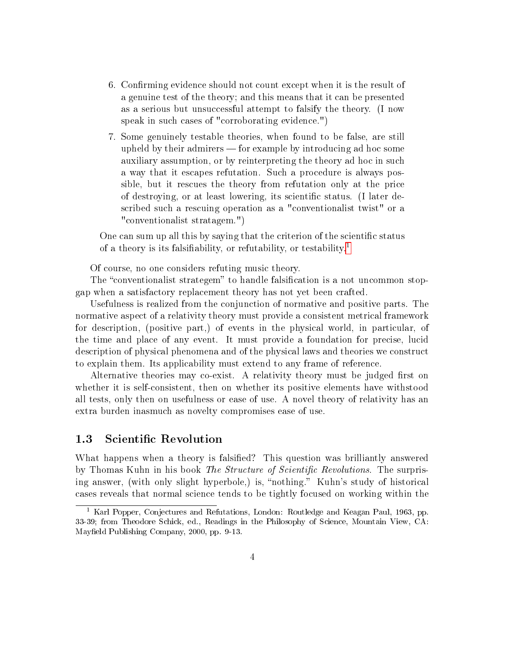- 6. Confirming evidence should not count except when it is the result of a genuine test of the theory; and this means that it can be presented as a serious but unsuccessful attempt to falsify the theory. (I now speak in such cases of "corroborating evidence.")
- 7. Some genuinely testable theories, when found to be false, are still upheld by their admirers  $\frac{1}{\sqrt{2}}$  for example by introducing ad hoc some auxiliary assumption, or by reinterpreting the theory ad hoc in such a way that it escapes refutation. Such a procedure is always possible, but it rescues the theory from refutation only at the price of destroying, or at least lowering, its scientific status. (I later described such a rescuing operation as a "conventionalist twist" or a "conventionalist stratagem.")

One can sum up all this by saying that the criterion of the scientific status of a theory is its falsifiability, or refutability, or testability.<sup>[1](#page-3-1)</sup>

Of course, no one considers refuting music theory.

The "conventionalist strategem" to handle falsification is a not uncommon stopgap when a satisfactory replacement theory has not yet been crafted.

Usefulness is realized from the conjunction of normative and positive parts. The normative aspect of a relativity theory must provide a consistent metrical framework for description, (positive part,) of events in the physical world, in particular, of the time and place of any event. It must provide a foundation for precise, lucid description of physical phenomena and of the physical laws and theories we construct to explain them. Its applicability must extend to any frame of reference.

Alternative theories may co-exist. A relativity theory must be judged first on whether it is self-consistent, then on whether its positive elements have withstood all tests, only then on usefulness or ease of use. A novel theory of relativity has an extra burden inasmuch as novelty compromises ease of use.

#### <span id="page-3-0"></span>1.3 Scientific Revolution

What happens when a theory is falsified? This question was brilliantly answered by Thomas Kuhn in his book The Structure of Scientific Revolutions. The surprising answer, (with only slight hyperbole,) is, "nothing." Kuhn's study of historical cases reveals that normal science tends to be tightly focused on working within the

<span id="page-3-1"></span><sup>&</sup>lt;sup>1</sup> Karl Popper, Conjectures and Refutations, London: Routledge and Keagan Paul, 1963, pp. 33-39; from Theodore Schick, ed., Readings in the Philosophy of Science, Mountain View, CA: Mayfield Publishing Company, 2000, pp. 9-13.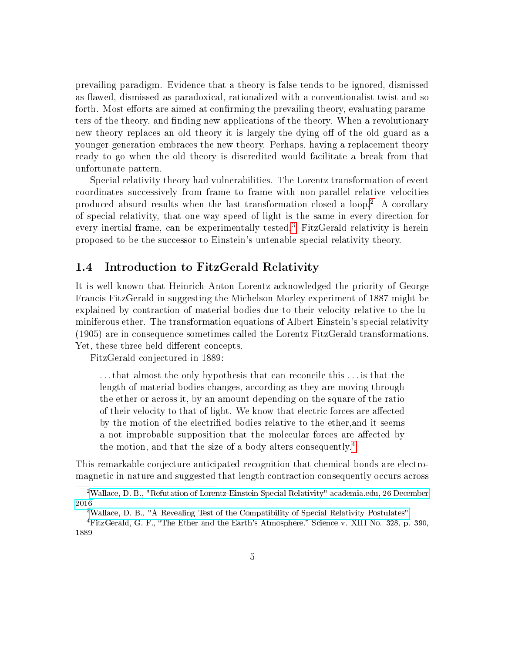prevailing paradigm. Evidence that a theory is false tends to be ignored, dismissed as flawed, dismissed as paradoxical, rationalized with a conventionalist twist and so forth. Most efforts are aimed at confirming the prevailing theory, evaluating parameters of the theory, and finding new applications of the theory. When a revolutionary new theory replaces an old theory it is largely the dying off of the old guard as a younger generation embraces the new theory. Perhaps, having a replacement theory ready to go when the old theory is discredited would facilitate a break from that unfortunate pattern.

Special relativity theory had vulnerabilities. The Lorentz transformation of event coordinates successively from frame to frame with non-parallel relative velocities produced absurd results when the last transformation closed a loop.[2](#page-4-1) A corollary of special relativity, that one way speed of light is the same in every direction for every inertial frame, can be experimentally tested.<sup>[3](#page-4-2)</sup> FitzGerald relativity is herein proposed to be the successor to Einstein's untenable special relativity theory.

#### <span id="page-4-0"></span>1.4 Introduction to FitzGerald Relativity

It is well known that Heinrich Anton Lorentz acknowledged the priority of George Francis FitzGerald in suggesting the Michelson Morley experiment of 1887 might be explained by contraction of material bodies due to their velocity relative to the luminiferous ether. The transformation equations of Albert Einstein's special relativity (1905) are in consequence sometimes called the Lorentz-FitzGerald transformations. Yet, these three held different concepts.

FitzGerald conjectured in 1889:

. . . that almost the only hypothesis that can reconcile this . . . is that the length of material bodies changes, according as they are moving through the ether or across it, by an amount depending on the square of the ratio of their velocity to that of light. We know that electric forces are affected by the motion of the electrified bodies relative to the ether, and it seems a not improbable supposition that the molecular forces are affected by the motion, and that the size of a body alters consequently.<sup>[4](#page-4-3)</sup>

This remarkable conjecture anticipated recognition that chemical bonds are electromagnetic in nature and suggested that length contraction consequently occurs across

<span id="page-4-1"></span><sup>2</sup>[Wallace, D. B., "Refutation of Lorentz-Einstein Special Relativity" academia.edu, 26 December](https://www.academia.edu/30614656/Refutation_of_Lorentz-Einstein_Special_Relativity) [2016](https://www.academia.edu/30614656/Refutation_of_Lorentz-Einstein_Special_Relativity)

<span id="page-4-3"></span><span id="page-4-2"></span><sup>3</sup>[Wallace, D. B., "A Revealing Test of the Compatibility of Special Relativity Postulates"](https://www.academia.edu/13004395/A_Revealing_Test_of_the_Compatibility_of_Special_Relativity_Postulates) <sup>4</sup>FitzGerald, G. F., "The Ether and the Earth's Atmosphere," Science v. XIII No. 328, p. 390,

<sup>1889</sup>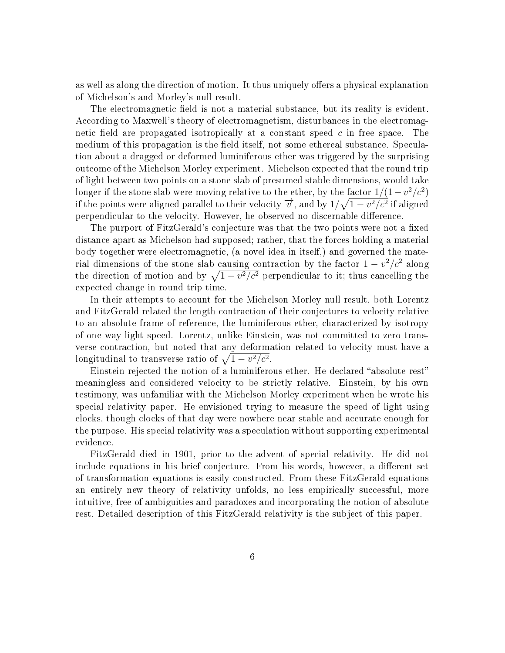as well as along the direction of motion. It thus uniquely offers a physical explanation of Michelson's and Morley's null result.

The electromagnetic field is not a material substance, but its reality is evident. According to Maxwell's theory of electromagnetism, disturbances in the electromagnetic field are propagated isotropically at a constant speed  $c$  in free space. The medium of this propagation is the field itself, not some ethereal substance. Speculation about a dragged or deformed luminiferous ether was triggered by the surprising outcome of the Michelson Morley experiment. Michelson expected that the round trip of light between two points on a stone slab of presumed stable dimensions, would take longer if the stone slab were moving relative to the ether, by the factor  $1/(1-v^2/c^2)$ if the points were aligned parallel to their velocity  $\overrightarrow{v}$ , and by  $1/\sqrt{1-v^2/c^2}$  if aligned perpendicular to the velocity. However, he observed no discernable difference.

The purport of FitzGerald's conjecture was that the two points were not a fixed distance apart as Michelson had supposed; rather, that the forces holding a material body together were electromagnetic, (a novel idea in itself,) and governed the material dimensions of the stone slab causing contraction by the factor  $1 - v^2/c^2$  along the direction of motion and by  $\sqrt{1 - v^2/c^2}$  perpendicular to it; thus cancelling the expected change in round trip time.

In their attempts to account for the Michelson Morley null result, both Lorentz and FitzGerald related the length contraction of their conjectures to velocity relative to an absolute frame of reference, the luminiferous ether, characterized by isotropy of one way light speed. Lorentz, unlike Einstein, was not committed to zero transverse contraction, but noted that any deformation related to velocity must have a longitudinal to transverse ratio of  $\sqrt{1 - v^2/c^2}$ .

Einstein rejected the notion of a luminiferous ether. He declared "absolute rest" meaningless and considered velocity to be strictly relative. Einstein, by his own testimony, was unfamiliar with the Michelson Morley experiment when he wrote his special relativity paper. He envisioned trying to measure the speed of light using clocks, though clocks of that day were nowhere near stable and accurate enough for the purpose. His special relativity was a speculation without supporting experimental evidence.

FitzGerald died in 1901, prior to the advent of special relativity. He did not include equations in his brief conjecture. From his words, however, a different set of transformation equations is easily constructed. From these FitzGerald equations an entirely new theory of relativity unfolds, no less empirically successful, more intuitive, free of ambiguities and paradoxes and incorporating the notion of absolute rest. Detailed description of this FitzGerald relativity is the subject of this paper.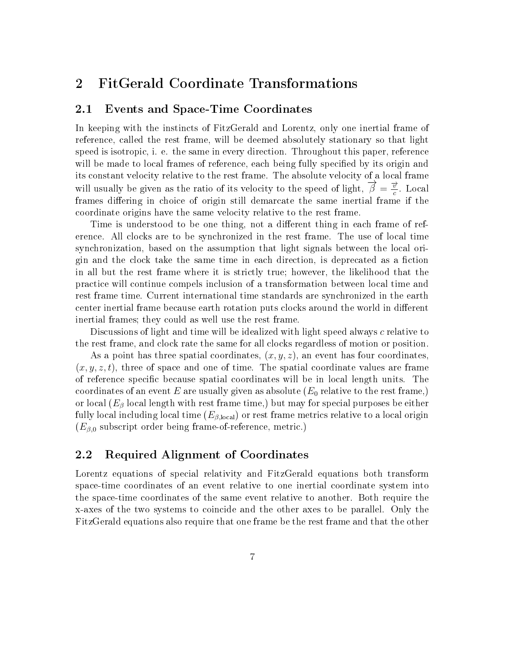## <span id="page-6-0"></span>2 FitGerald Coordinate Transformations

#### <span id="page-6-1"></span>2.1 Events and Space-Time Coordinates

In keeping with the instincts of FitzGerald and Lorentz, only one inertial frame of reference, called the rest frame, will be deemed absolutely stationary so that light speed is isotropic, i. e. the same in every direction. Throughout this paper, reference will be made to local frames of reference, each being fully specified by its origin and its constant velocity relative to the rest frame. The absolute velocity of a local frame will usually be given as the ratio of its velocity to the speed of light,  $\vec{\beta} = \frac{\vec{x}}{6}$  $\frac{v}{c}$ . Local frames differing in choice of origin still demarcate the same inertial frame if the coordinate origins have the same velocity relative to the rest frame.

Time is understood to be one thing, not a different thing in each frame of reference. All clocks are to be synchronized in the rest frame. The use of local time synchronization, based on the assumption that light signals between the local origin and the clock take the same time in each direction, is deprecated as a ction in all but the rest frame where it is strictly true; however, the likelihood that the practice will continue compels inclusion of a transformation between local time and rest frame time. Current international time standards are synchronized in the earth center inertial frame because earth rotation puts clocks around the world in different inertial frames; they could as well use the rest frame.

Discussions of light and time will be idealized with light speed always c relative to the rest frame, and clock rate the same for all clocks regardless of motion or position.

As a point has three spatial coordinates,  $(x, y, z)$ , an event has four coordinates,  $(x, y, z, t)$ , three of space and one of time. The spatial coordinate values are frame of reference specic because spatial coordinates will be in local length units. The coordinates of an event E are usually given as absolute  $(E_0$  relative to the rest frame,) or local  $(E_\beta \text{ local length with rest frame time,})$  but may for special purposes be either fully local including local time  $(E_{\beta\text{,local}})$  or rest frame metrics relative to a local origin  $(E_{\beta,0}$  subscript order being frame-of-reference, metric.)

#### <span id="page-6-2"></span>2.2 Required Alignment of Coordinates

Lorentz equations of special relativity and FitzGerald equations both transform space-time coordinates of an event relative to one inertial coordinate system into the space-time coordinates of the same event relative to another. Both require the x-axes of the two systems to coincide and the other axes to be parallel. Only the FitzGerald equations also require that one frame be the rest frame and that the other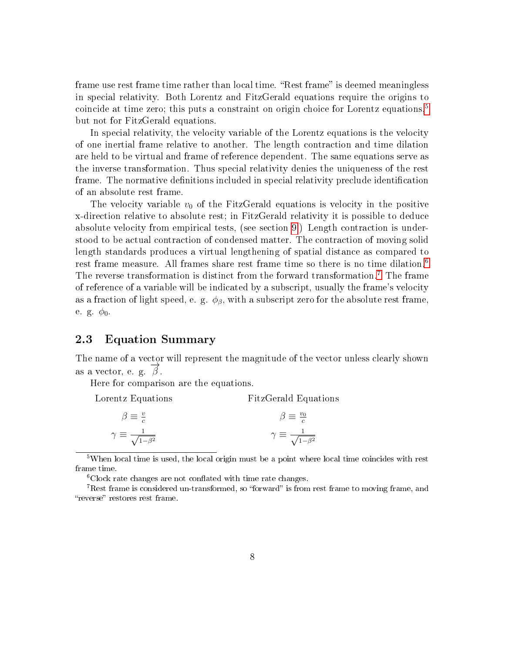frame use rest frame time rather than local time. "Rest frame" is deemed meaningless in special relativity. Both Lorentz and FitzGerald equations require the origins to coincide at time zero; this puts a constraint on origin choice for Lorentz equations,[5](#page-7-1) but not for FitzGerald equations.

In special relativity, the velocity variable of the Lorentz equations is the velocity of one inertial frame relative to another. The length contraction and time dilation are held to be virtual and frame of reference dependent. The same equations serve as the inverse transformation. Thus special relativity denies the uniqueness of the rest frame. The normative definitions included in special relativity preclude identification of an absolute rest frame.

The velocity variable  $v_0$  of the FitzGerald equations is velocity in the positive x-direction relative to absolute rest; in FitzGerald relativity it is possible to deduce absolute velocity from empirical tests, (see section [9.](#page-24-4)) Length contraction is understood to be actual contraction of condensed matter. The contraction of moving solid length standards produces a virtual lengthening of spatial distance as compared to rest frame measure. All frames share rest frame time so there is no time dilation.<sup>[6](#page-7-2)</sup> The reverse transformation is distinct from the forward transformation.<sup>[7](#page-7-3)</sup> The frame of reference of a variable will be indicated by a subscript, usually the frame's velocity as a fraction of light speed, e. g.  $\phi_{\beta}$ , with a subscript zero for the absolute rest frame, e. g.  $\phi_0$ .

#### <span id="page-7-0"></span>2.3 Equation Summary

The name of a vector will represent the magnitude of the vector unless clearly shown as a vector, e. g.  $\overrightarrow{\beta}$ .

Here for comparison are the equations.

Lorentz Equations FitzGerald Equations

| $\beta \equiv \frac{v}{c}$                 | $\beta \equiv \frac{v_0}{c}$               |
|--------------------------------------------|--------------------------------------------|
| $\gamma \equiv \frac{1}{\sqrt{1-\beta^2}}$ | $\gamma \equiv \frac{1}{\sqrt{1-\beta^2}}$ |

<span id="page-7-1"></span><sup>5</sup>When local time is used, the local origin must be a point where local time coincides with rest frame time.

<span id="page-7-3"></span><span id="page-7-2"></span> ${}^{6}$ Clock rate changes are not conflated with time rate changes.

<sup>7</sup>Rest frame is considered un-transformed, so "forward" is from rest frame to moving frame, and "reverse" restores rest frame.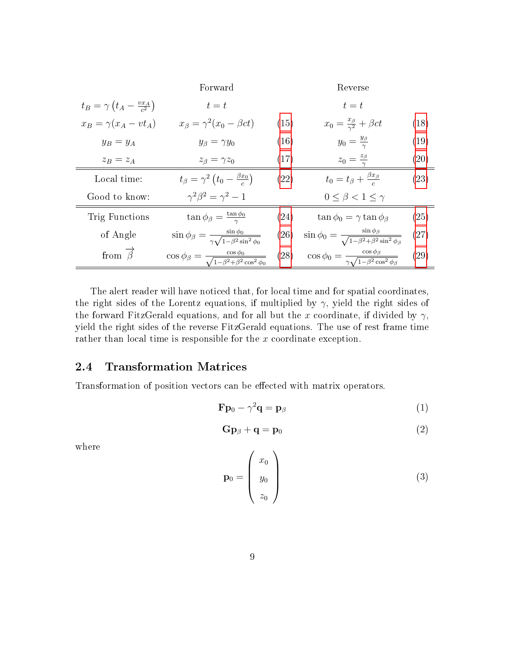|                                                    | Forward                                                                              |      | Reverse                                                                                |                    |
|----------------------------------------------------|--------------------------------------------------------------------------------------|------|----------------------------------------------------------------------------------------|--------------------|
| $t_B = \gamma \left(t_A - \frac{vx_A}{c^2}\right)$ | $t=t$                                                                                |      | $t=t$                                                                                  |                    |
| $x_B = \gamma(x_A - vt_A)$                         | $x_{\beta} = \gamma^2 (x_0 - \beta ct)$                                              | (15) | $x_0 = \frac{x_\beta}{\gamma^2} + \beta ct$                                            | (18)               |
| $y_B = y_A$                                        | $y_\beta = \gamma y_0$                                                               | (16) | $y_0 = \frac{y_\beta}{\gamma}$                                                         | (19)               |
| $z_B = z_A$                                        | $z_{\beta} = \gamma z_0$                                                             | (17) | $z_0=\frac{z_\beta}{\gamma}$                                                           | $\left( 20\right)$ |
| Local time:                                        | $t_{\beta} = \gamma^2 \left(t_0 - \frac{\beta x_0}{a}\right)$                        | (22) | $t_0=t_\beta+\frac{\beta x_\beta}{a}$                                                  | (23)               |
| Good to know:                                      | $\gamma^2 \beta^2 = \gamma^2 - 1$                                                    |      | $0 \leq \beta < 1 \leq \gamma$                                                         |                    |
| Trig Functions                                     | $\tan \phi_{\beta} = \frac{\tan \phi_0}{\gamma}$                                     | (24) | $\tan \phi_0 = \gamma \tan \phi_\beta$                                                 | (25)               |
| of Angle                                           | $\sin\phi_{\beta} = \frac{\sin\phi_0}{\gamma \sqrt{1-\beta^2 \sin^2\phi_0}}$         |      | (26) $\sin \phi_0 = \frac{\sin \phi_\beta}{\sqrt{1-\beta^2+\beta^2\sin^2 \phi_\beta}}$ | $\left( 27\right)$ |
| from $\overrightarrow{\beta}$                      | $\cos \phi_{\beta} = \frac{\cos \phi_0}{\sqrt{1 - \beta^2 + \beta^2 \cos^2 \phi_0}}$ | (28) | $\cos \phi_0 = \frac{\cos \phi_\beta}{\gamma \sqrt{1 - \beta^2 \cos^2 \phi_\beta}}$    | (29)               |

The alert reader will have noticed that, for local time and for spatial coordinates, the right sides of the Lorentz equations, if multiplied by  $\gamma$ , yield the right sides of the forward FitzGerald equations, and for all but the x coordinate, if divided by  $\gamma$ , yield the right sides of the reverse FitzGerald equations. The use of rest frame time rather than local time is responsible for the x coordinate exception.

### <span id="page-8-0"></span>2.4 Transformation Matrices

Transformation of position vectors can be effected with matrix operators.

$$
\mathbf{F}\mathbf{p}_0 - \gamma^2 \mathbf{q} = \mathbf{p}_\beta \tag{1}
$$

$$
\mathbf{G}\mathbf{p}_{\beta} + \mathbf{q} = \mathbf{p}_0 \tag{2}
$$

where

$$
\mathbf{p}_0 = \begin{pmatrix} x_0 \\ y_0 \\ z_0 \end{pmatrix} \tag{3}
$$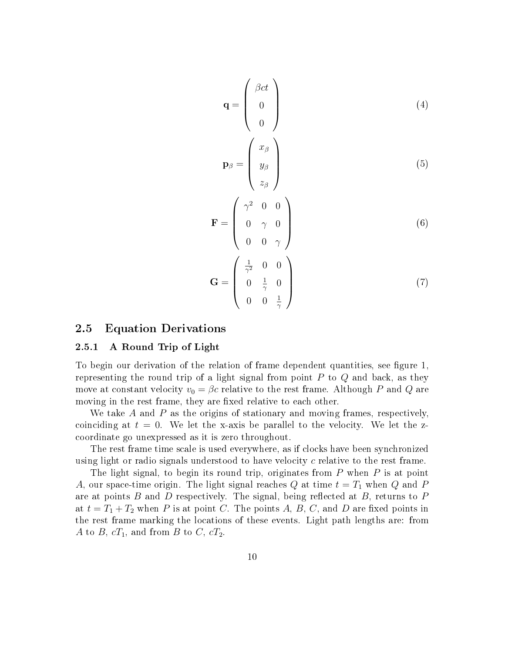$$
\mathbf{q} = \begin{pmatrix} \beta ct \\ 0 \\ 0 \end{pmatrix}
$$
  
\n
$$
\mathbf{p}_{\beta} = \begin{pmatrix} x_{\beta} \\ y_{\beta} \\ z_{\beta} \end{pmatrix}
$$
  
\n
$$
\begin{pmatrix} \gamma^2 & 0 & 0 \end{pmatrix}
$$
 (5)

$$
\mathbf{F} = \left( \begin{array}{ccc} \gamma & 0 & 0 \\ 0 & \gamma & 0 \\ 0 & 0 & \gamma \end{array} \right) \tag{6}
$$

$$
\mathbf{G} = \begin{pmatrix} \frac{1}{\gamma^2} & 0 & 0\\ 0 & \frac{1}{\gamma} & 0\\ 0 & 0 & \frac{1}{\gamma} \end{pmatrix}
$$
 (7)

#### <span id="page-9-0"></span>2.5 Equation Derivations

#### <span id="page-9-1"></span>2.5.1 A Round Trip of Light

To begin our derivation of the relation of frame dependent quantities, see figure 1, representing the round trip of a light signal from point  $P$  to  $Q$  and back, as they move at constant velocity  $v_0 = \beta c$  relative to the rest frame. Although P and Q are moving in the rest frame, they are fixed relative to each other.

We take  $A$  and  $P$  as the origins of stationary and moving frames, respectively, coinciding at  $t = 0$ . We let the x-axis be parallel to the velocity. We let the zcoordinate go unexpressed as it is zero throughout.

The rest frame time scale is used everywhere, as if clocks have been synchronized using light or radio signals understood to have velocity c relative to the rest frame.

The light signal, to begin its round trip, originates from P when P is at point A, our space-time origin. The light signal reaches Q at time  $t = T_1$  when Q and P are at points  $B$  and  $D$  respectively. The signal, being reflected at  $B$ , returns to  $P$ at  $t = T_1 + T_2$  when P is at point C. The points A, B, C, and D are fixed points in the rest frame marking the locations of these events. Light path lengths are: from A to B,  $cT_1$ , and from B to C,  $cT_2$ .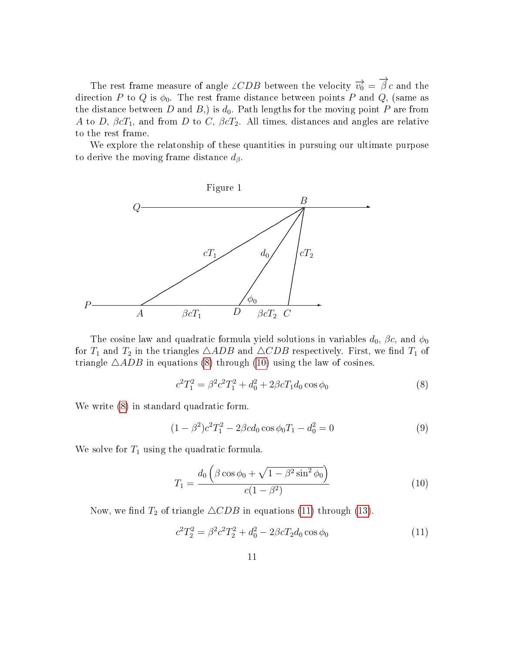The rest frame measure of angle  $\angle CDB$  between the velocity  $\overrightarrow{v_0} = \overrightarrow{\beta} c$  and the direction P to Q is  $\phi_0$ . The rest frame distance between points P and Q, (same as the distance between D and B,) is  $d_0$ . Path lengths for the moving point P are from A to D,  $\beta cT_1$ , and from D to C,  $\beta cT_2$ . All times, distances and angles are relative to the rest frame.

We explore the relatonship of these quantities in pursuing our ultimate purpose to derive the moving frame distance  $d_{\beta}$ .



The cosine law and quadratic formula yield solutions in variables  $d_0$ ,  $\beta c$ , and  $\phi_0$ for  $T_1$  and  $T_2$  in the triangles  $\triangle ADB$  and  $\triangle CDB$  respectively. First, we find  $T_1$  of triangle  $\triangle ADB$  in equations [\(8\)](#page-10-0) through [\(10\)](#page-10-1) using the law of cosines.

<span id="page-10-0"></span>
$$
c^2 T_1^2 = \beta^2 c^2 T_1^2 + d_0^2 + 2\beta c T_1 d_0 \cos \phi_0 \tag{8}
$$

We write [\(8\)](#page-10-0) in standard quadratic form.

$$
(1 - \beta^2)c^2T_1^2 - 2\beta cd_0 \cos \phi_0 T_1 - d_0^2 = 0
$$
\n(9)

We solve for  $T_1$  using the quadratic formula.

<span id="page-10-1"></span>
$$
T_1 = \frac{d_0 \left(\beta \cos \phi_0 + \sqrt{1 - \beta^2 \sin^2 \phi_0}\right)}{c(1 - \beta^2)}
$$
(10)

Now, we find  $T_2$  of triangle  $\triangle CDB$  in equations [\(11\)](#page-10-2) through [\(13\)](#page-11-5).

<span id="page-10-2"></span>
$$
c^2 T_2^2 = \beta^2 c^2 T_2^2 + d_0^2 - 2\beta c T_2 d_0 \cos \phi_0 \tag{11}
$$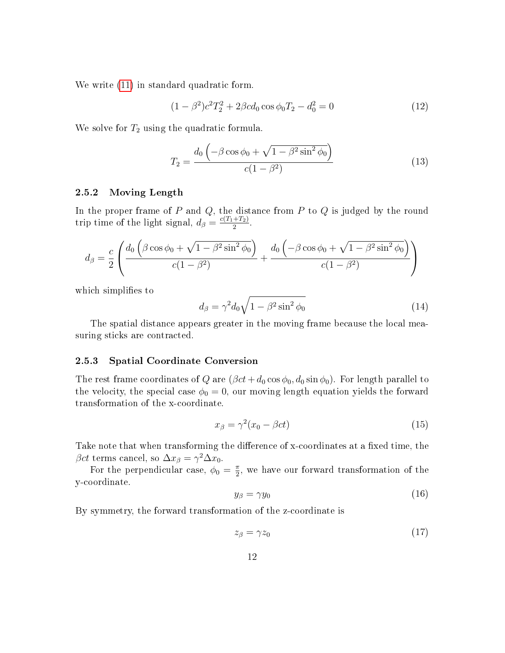We write [\(11\)](#page-10-2) in standard quadratic form.

$$
(1 - \beta^2)c^2T_2^2 + 2\beta cd_0 \cos \phi_0 T_2 - d_0^2 = 0 \tag{12}
$$

We solve for  $T_2$  using the quadratic formula.

<span id="page-11-5"></span>
$$
T_2 = \frac{d_0 \left( -\beta \cos \phi_0 + \sqrt{1 - \beta^2 \sin^2 \phi_0} \right)}{c(1 - \beta^2)}
$$
(13)

#### <span id="page-11-0"></span>2.5.2 Moving Length

In the proper frame of  $P$  and  $Q$ , the distance from  $P$  to  $Q$  is judged by the round trip time of the light signal,  $d_{\beta} = \frac{c(T_1 + T_2)}{2}$  $\frac{+1}{2}$ .

$$
d_{\beta} = \frac{c}{2} \left( \frac{d_0 \left( \beta \cos \phi_0 + \sqrt{1 - \beta^2 \sin^2 \phi_0} \right)}{c(1 - \beta^2)} + \frac{d_0 \left( -\beta \cos \phi_0 + \sqrt{1 - \beta^2 \sin^2 \phi_0} \right)}{c(1 - \beta^2)} \right)
$$

which simplifies to

<span id="page-11-6"></span>
$$
d_{\beta} = \gamma^2 d_0 \sqrt{1 - \beta^2 \sin^2 \phi_0} \tag{14}
$$

The spatial distance appears greater in the moving frame because the local measuring sticks are contracted.

#### <span id="page-11-1"></span>2.5.3 Spatial Coordinate Conversion

The rest frame coordinates of Q are  $(\beta ct + d_0 \cos \phi_0, d_0 \sin \phi_0)$ . For length parallel to the velocity, the special case  $\phi_0 = 0$ , our moving length equation yields the forward transformation of the x-coordinate.

<span id="page-11-2"></span>
$$
x_{\beta} = \gamma^2 (x_0 - \beta ct) \tag{15}
$$

Take note that when transforming the difference of x-coordinates at a fixed time, the  $\beta ct$  terms cancel, so  $\Delta x_{\beta} = \gamma^2 \Delta x_0$ .

For the perpendicular case,  $\phi_0 = \frac{\pi}{2}$  $\frac{\pi}{2}$ , we have our forward transformation of the y-coordinate.

<span id="page-11-3"></span>
$$
y_{\beta} = \gamma y_0 \tag{16}
$$

By symmetry, the forward transformation of the z-coordinate is

<span id="page-11-4"></span>
$$
z_{\beta} = \gamma z_0 \tag{17}
$$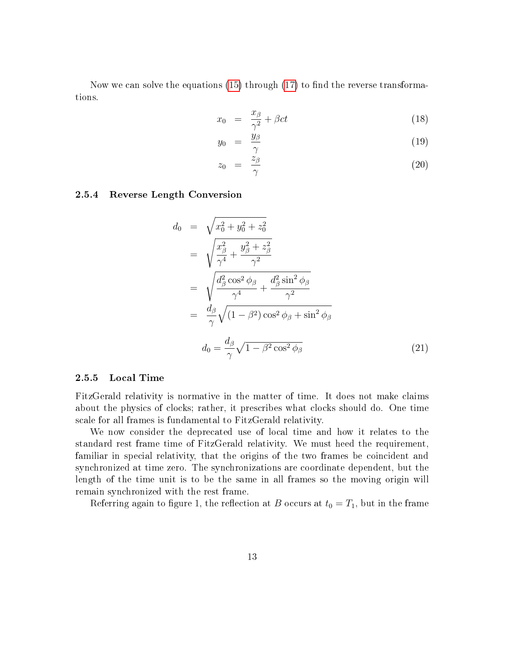Now we can solve the equations  $(15)$  through  $(17)$  to find the reverse transformations.

<span id="page-12-2"></span>
$$
x_0 = \frac{x_\beta}{\gamma^2} + \beta ct \tag{18}
$$

$$
y_0 = \frac{y_\beta}{\gamma} \tag{19}
$$

$$
z_0 = \frac{z_\beta}{\gamma} \tag{20}
$$

#### <span id="page-12-0"></span>2.5.4 Reverse Length Conversion

$$
d_0 = \sqrt{x_0^2 + y_0^2 + z_0^2}
$$
  
\n
$$
= \sqrt{\frac{x_\beta^2}{\gamma^4} + \frac{y_\beta^2 + z_\beta^2}{\gamma^2}}
$$
  
\n
$$
= \sqrt{\frac{d_\beta^2 \cos^2 \phi_\beta}{\gamma^4} + \frac{d_\beta^2 \sin^2 \phi_\beta}{\gamma^2}}
$$
  
\n
$$
= \frac{d_\beta}{\gamma} \sqrt{(1 - \beta^2) \cos^2 \phi_\beta + \sin^2 \phi_\beta}
$$
  
\n
$$
d_0 = \frac{d_\beta}{\gamma} \sqrt{1 - \beta^2 \cos^2 \phi_\beta}
$$
 (21)

#### <span id="page-12-1"></span>2.5.5 Local Time

FitzGerald relativity is normative in the matter of time. It does not make claims about the physics of clocks; rather, it prescribes what clocks should do. One time scale for all frames is fundamental to FitzGerald relativity.

We now consider the deprecated use of local time and how it relates to the standard rest frame time of FitzGerald relativity. We must heed the requirement, familiar in special relativity, that the origins of the two frames be coincident and synchronized at time zero. The synchronizations are coordinate dependent, but the length of the time unit is to be the same in all frames so the moving origin will remain synchronized with the rest frame.

Referring again to figure 1, the reflection at B occurs at  $t_0 = T_1$ , but in the frame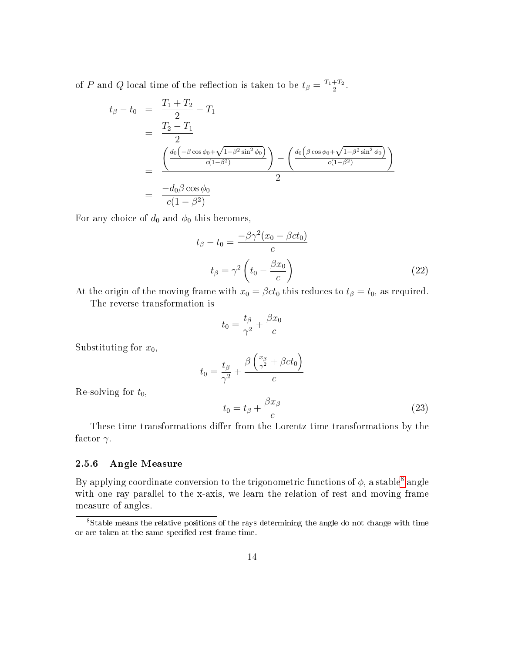of P and Q local time of the reflection is taken to be  $t_{\beta} = \frac{T_1 + T_2}{2}$  $\frac{+T_{2}}{2}$  .

$$
t_{\beta} - t_0 = \frac{T_1 + T_2}{2} - T_1
$$
  
= 
$$
\frac{T_2 - T_1}{2}
$$
  
= 
$$
\frac{\left(\frac{d_0(-\beta \cos \phi_0 + \sqrt{1 - \beta^2 \sin^2 \phi_0})}{c(1 - \beta^2)}\right) - \left(\frac{d_0(\beta \cos \phi_0 + \sqrt{1 - \beta^2 \sin^2 \phi_0})}{c(1 - \beta^2)}\right)}{2}
$$
  
= 
$$
\frac{-d_0 \beta \cos \phi_0}{c(1 - \beta^2)}
$$

For any choice of  $d_0$  and  $\phi_0$  this becomes,

<span id="page-13-1"></span>
$$
t_{\beta} - t_0 = \frac{-\beta \gamma^2 (x_0 - \beta c t_0)}{c}
$$

$$
t_{\beta} = \gamma^2 \left( t_0 - \frac{\beta x_0}{c} \right)
$$
(22)

At the origin of the moving frame with  $x_0 = \beta ct_0$  this reduces to  $t_\beta = t_0$ , as required. The reverse transformation is

$$
t_0 = \frac{t_\beta}{\gamma^2} + \frac{\beta x_0}{c}
$$

Substituting for  $x_0$ ,

$$
t_0 = \frac{t_\beta}{\gamma^2} + \frac{\beta \left(\frac{x_\beta}{\gamma^2} + \beta c t_0\right)}{c}
$$

Re-solving for  $t_0$ ,

<span id="page-13-2"></span>
$$
t_0 = t_\beta + \frac{\beta x_\beta}{c} \tag{23}
$$

These time transformations differ from the Lorentz time transformations by the factor  $\gamma$ .

#### <span id="page-13-0"></span>2.5.6 Angle Measure

By applying coordinate conversion to the trigonometric functions of  $\phi$ , a stable<sup>[8](#page-13-3)</sup> angle with one ray parallel to the x-axis, we learn the relation of rest and moving frame measure of angles.

<span id="page-13-3"></span><sup>&</sup>lt;sup>8</sup>Stable means the relative positions of the rays determining the angle do not change with time or are taken at the same specified rest frame time.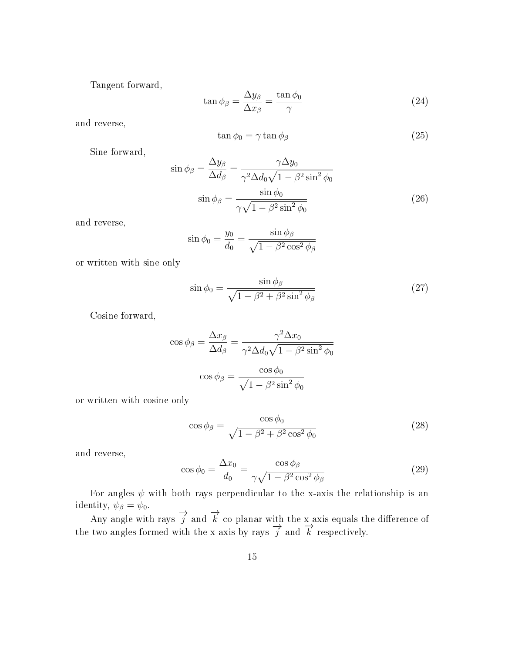Tangent forward,

<span id="page-14-0"></span>
$$
\tan \phi_{\beta} = \frac{\Delta y_{\beta}}{\Delta x_{\beta}} = \frac{\tan \phi_{0}}{\gamma}
$$
\n(24)

and reverse,

<span id="page-14-1"></span>
$$
\tan \phi_0 = \gamma \tan \phi_\beta \tag{25}
$$

Sine forward,

$$
\sin \phi_{\beta} = \frac{\Delta y_{\beta}}{\Delta d_{\beta}} = \frac{\gamma \Delta y_{0}}{\gamma^{2} \Delta d_{0} \sqrt{1 - \beta^{2} \sin^{2} \phi_{0}}}
$$

$$
\sin \phi_{\beta} = \frac{\sin \phi_{0}}{\gamma \sqrt{1 - \beta^{2} \sin^{2} \phi_{0}}}
$$
(26)

and reverse,

<span id="page-14-2"></span>
$$
\sin \phi_0 = \frac{y_0}{d_0} = \frac{\sin \phi_\beta}{\sqrt{1 - \beta^2 \cos^2 \phi_\beta}}
$$

or written with sine only

<span id="page-14-3"></span>
$$
\sin \phi_0 = \frac{\sin \phi_\beta}{\sqrt{1 - \beta^2 + \beta^2 \sin^2 \phi_\beta}}
$$
\n(27)

Cosine forward,

$$
\cos \phi_{\beta} = \frac{\Delta x_{\beta}}{\Delta d_{\beta}} = \frac{\gamma^2 \Delta x_0}{\gamma^2 \Delta d_0 \sqrt{1 - \beta^2 \sin^2 \phi_0}}
$$

$$
\cos \phi_{\beta} = \frac{\cos \phi_0}{\sqrt{1 - \beta^2 \sin^2 \phi_0}}
$$

or written with cosine only

<span id="page-14-4"></span>
$$
\cos \phi_{\beta} = \frac{\cos \phi_0}{\sqrt{1 - \beta^2 + \beta^2 \cos^2 \phi_0}}
$$
\n(28)

and reverse,

<span id="page-14-5"></span>
$$
\cos \phi_0 = \frac{\Delta x_0}{d_0} = \frac{\cos \phi_\beta}{\gamma \sqrt{1 - \beta^2 \cos^2 \phi_\beta}}
$$
\n(29)

For angles  $\psi$  with both rays perpendicular to the x-axis the relationship is an identity,  $\psi_{\beta} = \psi_0$ .

Any angle with rays  $\overrightarrow{j}$  and  $\overrightarrow{k}$  co-planar with the x-axis equals the difference of the two angles formed with the x-axis by rays  $\frac{3}{f}$  and  $\frac{7}{k}$  respectively.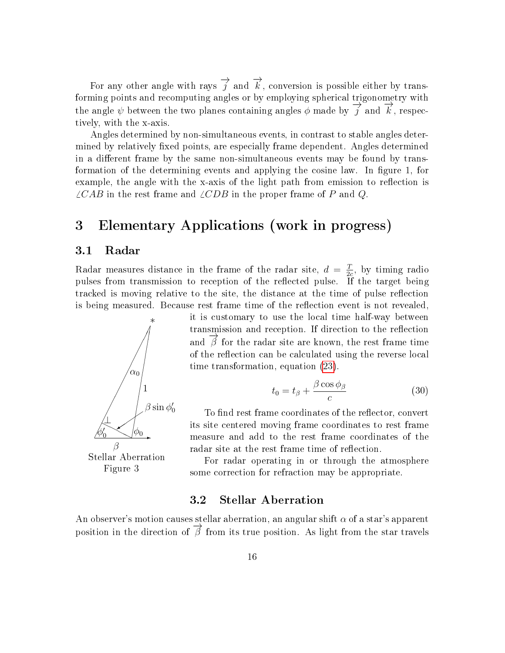For any other angle with rays  $\overrightarrow{j}$  and  $\overrightarrow{k}$ , conversion is possible either by transforming points and recomputing angles or by employing spherical trigonometry with the angle  $\psi$  between the two planes containing angles  $\phi$  made by  $\overrightarrow{j}$  and  $\overrightarrow{k}$ , respectively, with the x-axis.

Angles determined by non-simultaneous events, in contrast to stable angles determined by relatively fixed points, are especially frame dependent. Angles determined in a different frame by the same non-simultaneous events may be found by transformation of the determining events and applying the cosine law. In figure 1, for example, the angle with the x-axis of the light path from emission to reflection is  $\angle CAB$  in the rest frame and  $\angle CDB$  in the proper frame of P and Q.

## <span id="page-15-0"></span>3 Elementary Applications (work in progress)

#### <span id="page-15-1"></span>3.1 Radar

Radar measures distance in the frame of the radar site,  $d = \frac{T}{2}$  $\frac{T}{2c}$ , by timing radio pulses from transmission to reception of the reflected pulse. If the target being tracked is moving relative to the site, the distance at the time of pulse reflection is being measured. Because rest frame time of the reflection event is not revealed.



it is customary to use the local time half-way between transmission and reception. If direction to the reflection and  $\vec{\beta}$  for the radar site are known, the rest frame time of the reflection can be calculated using the reverse local time transformation, equation [\(23\)](#page-13-2).

$$
t_0 = t_\beta + \frac{\beta \cos \phi_\beta}{c} \tag{30}
$$

To find rest frame coordinates of the reflector, convert its site centered moving frame coordinates to rest frame measure and add to the rest frame coordinates of the radar site at the rest frame time of reflection.

For radar operating in or through the atmosphere some correction for refraction may be appropriate.

### 3.2 Stellar Aberration

<span id="page-15-2"></span>An observer's motion causes stellar aberration, an angular shift  $\alpha$  of a star's apparent position in the direction of  $\overrightarrow{\beta}$  from its true position. As light from the star travels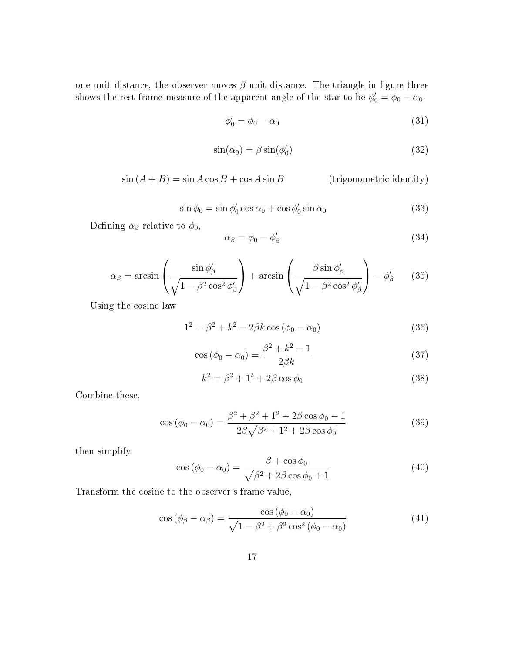one unit distance, the observer moves  $\beta$  unit distance. The triangle in figure three shows the rest frame measure of the apparent angle of the star to be  $\phi'_0 = \phi_0 - \alpha_0$ .

$$
\phi_0' = \phi_0 - \alpha_0 \tag{31}
$$

$$
\sin(\alpha_0) = \beta \sin(\phi_0') \tag{32}
$$

 $\sin (A + B) = \sin A \cos B + \cos A \sin B$  (trigonometric identity)

$$
\sin \phi_0 = \sin \phi'_0 \cos \alpha_0 + \cos \phi'_0 \sin \alpha_0 \tag{33}
$$

Defining  $\alpha_{\beta}$  relative to  $\phi_0$ ,

$$
\alpha_{\beta} = \phi_0 - \phi'_{\beta} \tag{34}
$$

$$
\alpha_{\beta} = \arcsin\left(\frac{\sin\phi'_{\beta}}{\sqrt{1 - \beta^2 \cos^2\phi'_{\beta}}}\right) + \arcsin\left(\frac{\beta \sin\phi'_{\beta}}{\sqrt{1 - \beta^2 \cos^2\phi'_{\beta}}}\right) - \phi'_{\beta}
$$
(35)

Using the cosine law

$$
1^2 = \beta^2 + k^2 - 2\beta k \cos(\phi_0 - \alpha_0)
$$
 (36)

$$
\cos(\phi_0 - \alpha_0) = \frac{\beta^2 + k^2 - 1}{2\beta k} \tag{37}
$$

$$
k^2 = \beta^2 + 1^2 + 2\beta \cos \phi_0 \tag{38}
$$

Combine these,

$$
\cos (\phi_0 - \alpha_0) = \frac{\beta^2 + \beta^2 + 1^2 + 2\beta \cos \phi_0 - 1}{2\beta \sqrt{\beta^2 + 1^2 + 2\beta \cos \phi_0}}
$$
(39)

then simplify.

<span id="page-16-0"></span>
$$
\cos\left(\phi_0 - \alpha_0\right) = \frac{\beta + \cos\phi_0}{\sqrt{\beta^2 + 2\beta\cos\phi_0 + 1}}\tag{40}
$$

Transform the cosine to the observer's frame value,

<span id="page-16-1"></span>
$$
\cos\left(\phi_{\beta} - \alpha_{\beta}\right) = \frac{\cos\left(\phi_{0} - \alpha_{0}\right)}{\sqrt{1 - \beta^{2} + \beta^{2}\cos^{2}\left(\phi_{0} - \alpha_{0}\right)}}\tag{41}
$$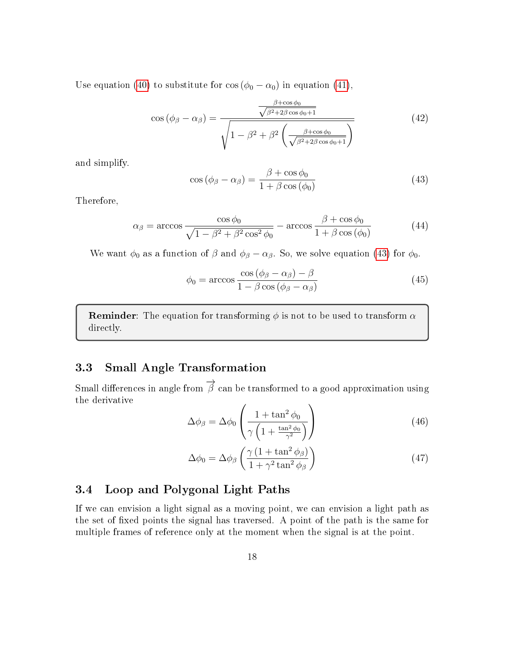Use equation [\(40\)](#page-16-0) to substitute for  $\cos (\phi_0 - \alpha_0)$  in equation [\(41\)](#page-16-1),

$$
\cos\left(\phi_{\beta} - \alpha_{\beta}\right) = \frac{\frac{\beta + \cos\phi_{0}}{\sqrt{\beta^{2} + 2\beta\cos\phi_{0} + 1}}}{\sqrt{1 - \beta^{2} + \beta^{2}\left(\frac{\beta + \cos\phi_{0}}{\sqrt{\beta^{2} + 2\beta\cos\phi_{0} + 1}}\right)}}
$$
(42)

and simplify.

<span id="page-17-2"></span>
$$
\cos\left(\phi_{\beta} - \alpha_{\beta}\right) = \frac{\beta + \cos\phi_{0}}{1 + \beta\cos\left(\phi_{0}\right)}\tag{43}
$$

Therefore,

$$
\alpha_{\beta} = \arccos \frac{\cos \phi_0}{\sqrt{1 - \beta^2 + \beta^2 \cos^2 \phi_0}} - \arccos \frac{\beta + \cos \phi_0}{1 + \beta \cos (\phi_0)}
$$
(44)

We want  $\phi_0$  as a function of  $\beta$  and  $\phi_\beta - \alpha_\beta$ . So, we solve equation [\(43\)](#page-17-2) for  $\phi_0$ .

$$
\phi_0 = \arccos \frac{\cos (\phi_\beta - \alpha_\beta) - \beta}{1 - \beta \cos (\phi_\beta - \alpha_\beta)}
$$
(45)

**Reminder:** The equation for transforming  $\phi$  is not to be used to transform  $\alpha$ directly.

### <span id="page-17-0"></span>3.3 Small Angle Transformation

Small differences in angle from  $\overrightarrow{\beta}$  can be transformed to a good approximation using the derivative

$$
\Delta \phi_{\beta} = \Delta \phi_0 \left( \frac{1 + \tan^2 \phi_0}{\gamma \left( 1 + \frac{\tan^2 \phi_0}{\gamma^2} \right)} \right)
$$
(46)

$$
\Delta\phi_0 = \Delta\phi_\beta \left(\frac{\gamma \left(1 + \tan^2 \phi_\beta\right)}{1 + \gamma^2 \tan^2 \phi_\beta}\right)
$$
\n(47)

#### <span id="page-17-1"></span>3.4 Loop and Polygonal Light Paths

If we can envision a light signal as a moving point, we can envision a light path as the set of fixed points the signal has traversed. A point of the path is the same for multiple frames of reference only at the moment when the signal is at the point.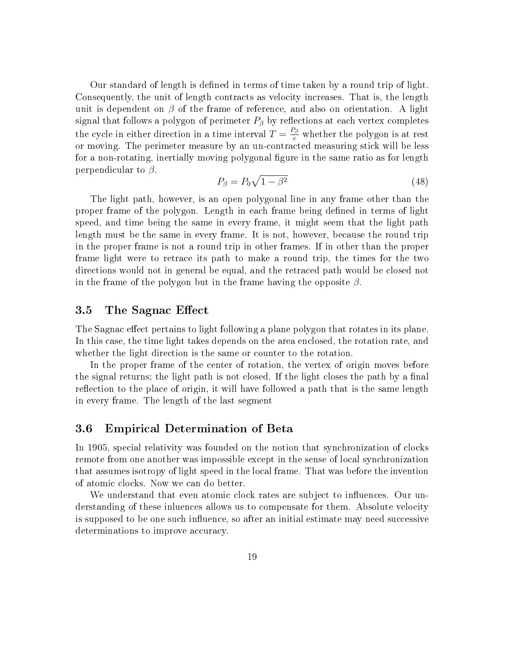Our standard of length is defined in terms of time taken by a round trip of light. Consequently, the unit of length contracts as velocity increases. That is, the length unit is dependent on  $\beta$  of the frame of reference, and also on orientation. A light signal that follows a polygon of perimeter  $P_\beta$  by reflections at each vertex completes the cycle in either direction in a time interval  $T = \frac{P_{\beta}}{c}$  whether the polygon is at rest or moving. The perimeter measure by an un-contracted measuring stick will be less for a non-rotating, inertially moving polygonal figure in the same ratio as for length perpendicular to  $\beta$ .

$$
P_{\beta} = P_0 \sqrt{1 - \beta^2} \tag{48}
$$

The light path, however, is an open polygonal line in any frame other than the proper frame of the polygon. Length in each frame being defined in terms of light speed, and time being the same in every frame, it might seem that the light path length must be the same in every frame. It is not, however, because the round trip in the proper frame is not a round trip in other frames. If in other than the proper frame light were to retrace its path to make a round trip, the times for the two directions would not in general be equal, and the retraced path would be closed not in the frame of the polygon but in the frame having the opposite  $\beta$ .

#### <span id="page-18-0"></span>3.5 The Sagnac Effect

The Sagnac effect pertains to light following a plane polygon that rotates in its plane. In this case, the time light takes depends on the area enclosed, the rotation rate, and whether the light direction is the same or counter to the rotation.

In the proper frame of the center of rotation, the vertex of origin moves before the signal returns; the light path is not closed. If the light closes the path by a final reflection to the place of origin, it will have followed a path that is the same length in every frame. The length of the last segment

#### <span id="page-18-1"></span>3.6 Empirical Determination of Beta

In 1905, special relativity was founded on the notion that synchronization of clocks remote from one another was impossible except in the sense of local synchronization that assumes isotropy of light speed in the local frame. That was before the invention of atomic clocks. Now we can do better.

We understand that even atomic clock rates are subject to influences. Our understanding of these inluences allows us to compensate for them. Absolute velocity is supposed to be one such influence, so after an initial estimate may need successive determinations to improve accuracy.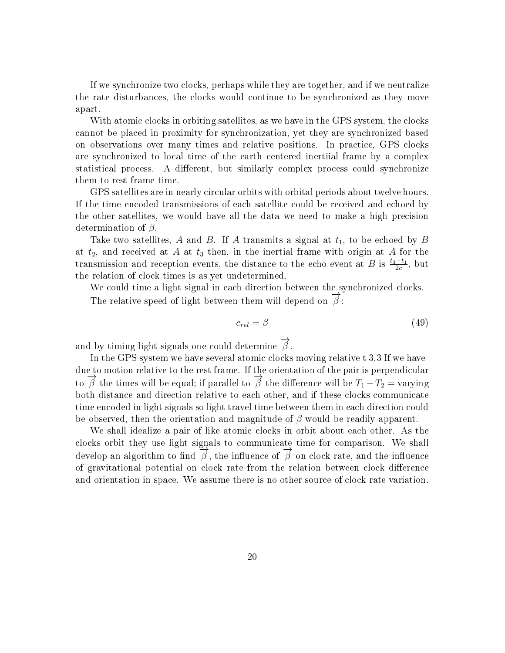If we synchronize two clocks, perhaps while they are together, and if we neutralize the rate disturbances, the clocks would continue to be synchronized as they move apart.

With atomic clocks in orbiting satellites, as we have in the GPS system, the clocks cannot be placed in proximity for synchronization, yet they are synchronized based on observations over many times and relative positions. In practice, GPS clocks are synchronized to local time of the earth centered inertiial frame by a complex statistical process. A different, but similarly complex process could synchronize them to rest frame time.

GPS satellites are in nearly circular orbits with orbital periods about twelve hours. If the time encoded transmissions of each satellite could be received and echoed by the other satellites, we would have all the data we need to make a high precision determination of  $\beta$ .

Take two satellites, A and B. If A transmits a signal at  $t_1$ , to be echoed by B at  $t_2$ , and received at A at  $t_3$  then, in the inertial frame with origin at A for the transmission and reception events, the distance to the echo event at B is  $\frac{t_3-t_1}{2c}$ , but the relation of clock times is as yet undetermined.

We could time a light signal in each direction between the synchronized clocks. The relative speed of light between them will depend on  $\overrightarrow{\beta}$ :

$$
c_{rel} = \beta \tag{49}
$$

and by timing light signals one could determine  $\overrightarrow{\beta}$ .

In the GPS system we have several atomic clocks moving relative t 3.3 If we havedue to motion relative to the rest frame. If the orientation of the pair is perpendicular to  $\overrightarrow{\beta}$  the times will be equal; if parallel to  $\overrightarrow{\beta}$  the difference will be  $T_1 - T_2 =$  varying both distance and direction relative to each other, and if these clocks communicate time encoded in light signals so light travel time between them in each direction could be observed, then the orientation and magnitude of  $\beta$  would be readily apparent.

We shall idealize a pair of like atomic clocks in orbit about each other. As the clocks orbit they use light signals to communicate time for comparison. We shall develop an algorithm to find  $\overrightarrow{\beta}$ , the influence of  $\overrightarrow{\beta}$  on clock rate, and the influence of gravitational potential on clock rate from the relation between clock difference and orientation in space. We assume there is no other source of clock rate variation.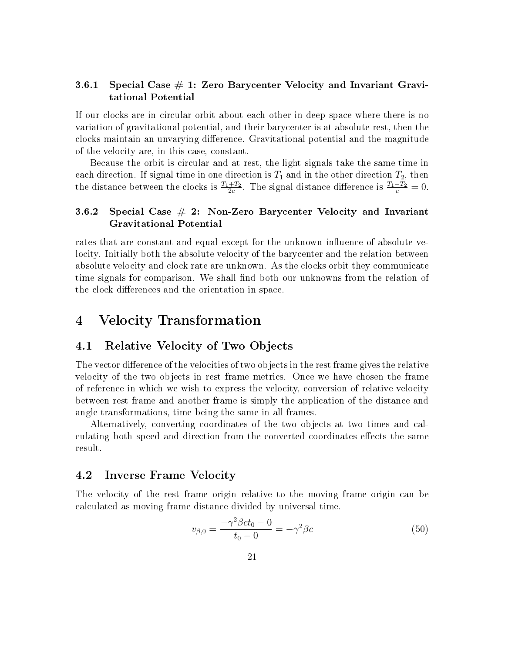#### <span id="page-20-0"></span>3.6.1 Special Case  $\#$  1: Zero Barycenter Velocity and Invariant Gravitational Potential

If our clocks are in circular orbit about each other in deep space where there is no variation of gravitational potential, and their barycenter is at absolute rest, then the clocks maintain an unvarying difference. Gravitational potential and the magnitude of the velocity are, in this case, constant.

Because the orbit is circular and at rest, the light signals take the same time in each direction. If signal time in one direction is  $T_1$  and in the other direction  $T_2$ , then the distance between the clocks is  $\frac{T_1+T_2}{2c}$ . The signal distance difference is  $\frac{T_1-T_2}{c}=0$ .

#### <span id="page-20-1"></span>3.6.2 Special Case  $# 2:$  Non-Zero Barycenter Velocity and Invariant Gravitational Potential

rates that are constant and equal except for the unknown influence of absolute velocity. Initially both the absolute velocity of the barycenter and the relation between absolute velocity and clock rate are unknown. As the clocks orbit they communicate time signals for comparison. We shall find both our unknowns from the relation of the clock differences and the orientation in space.

### <span id="page-20-2"></span>4 Velocity Transformation

#### <span id="page-20-3"></span>4.1 Relative Velocity of Two Objects

The vector difference of the velocities of two objects in the rest frame gives the relative velocity of the two objects in rest frame metrics. Once we have chosen the frame of reference in which we wish to express the velocity, conversion of relative velocity between rest frame and another frame is simply the application of the distance and angle transformations, time being the same in all frames.

Alternatively, converting coordinates of the two objects at two times and calculating both speed and direction from the converted coordinates effects the same result.

#### <span id="page-20-4"></span>4.2 Inverse Frame Velocity

The velocity of the rest frame origin relative to the moving frame origin can be calculated as moving frame distance divided by universal time.

$$
v_{\beta,0} = \frac{-\gamma^2 \beta c t_0 - 0}{t_0 - 0} = -\gamma^2 \beta c \tag{50}
$$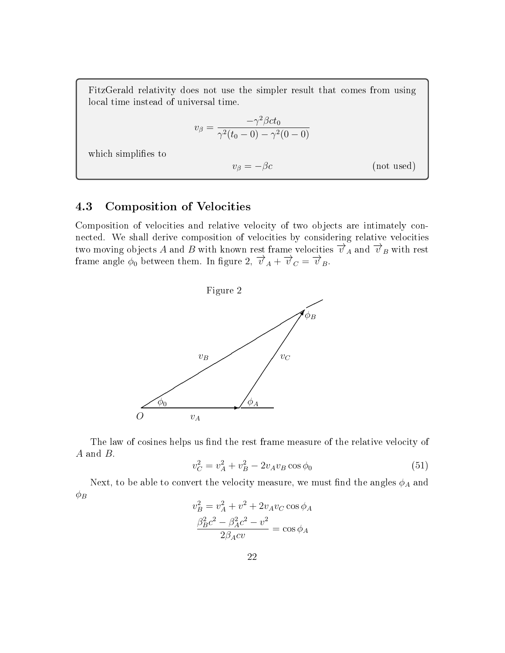FitzGerald relativity does not use the simpler result that comes from using local time instead of universal time.

$$
v_{\beta} = \frac{-\gamma^2 \beta ct_0}{\gamma^2 (t_0 - 0) - \gamma^2 (0 - 0)}
$$

which simplifies to

 $v_\beta = -\beta c$  (not used)

### <span id="page-21-0"></span>4.3 Composition of Velocities

Composition of velocities and relative velocity of two objects are intimately connected. We shall derive composition of velocities by considering relative velocities two moving objects A and B with known rest frame velocities  $\overrightarrow{v}_A$  and  $\overrightarrow{v}_B$  with rest frame angle  $\phi_0$  between them. In figure 2,  $\overrightarrow{v}_A + \overrightarrow{v}_C = \overrightarrow{v}_B$ .



The law of cosines helps us find the rest frame measure of the relative velocity of A and B.

$$
v_C^2 = v_A^2 + v_B^2 - 2v_A v_B \cos \phi_0 \tag{51}
$$

Next, to be able to convert the velocity measure, we must find the angles  $\phi_A$  and  $\phi_B$ 

$$
v_B^2 = v_A^2 + v^2 + 2v_Av_C\cos\phi_A
$$

$$
\frac{\beta_B^2c^2 - \beta_A^2c^2 - v^2}{2\beta_Acv} = \cos\phi_A
$$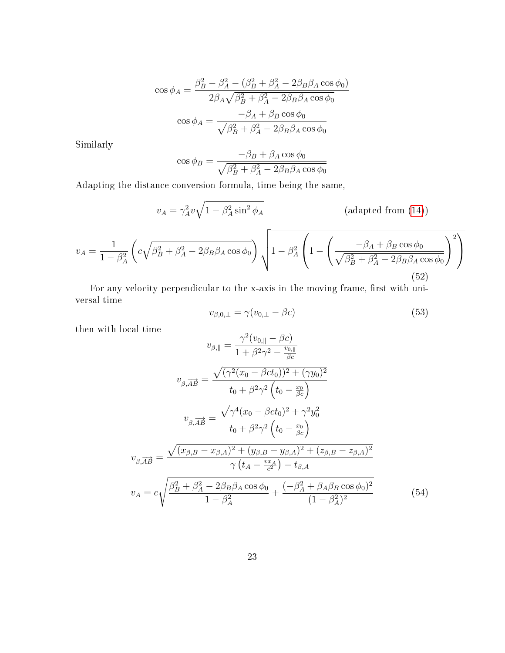$$
\cos \phi_A = \frac{\beta_B^2 - \beta_A^2 - (\beta_B^2 + \beta_A^2 - 2\beta_B \beta_A \cos \phi_0)}{2\beta_A \sqrt{\beta_B^2 + \beta_A^2 - 2\beta_B \beta_A \cos \phi_0}}
$$

$$
\cos \phi_A = \frac{-\beta_A + \beta_B \cos \phi_0}{\sqrt{\beta_B^2 + \beta_A^2 - 2\beta_B \beta_A \cos \phi_0}}
$$

Similarly

$$
\cos \phi_B = \frac{-\beta_B + \beta_A \cos \phi_0}{\sqrt{\beta_B^2 + \beta_A^2 - 2\beta_B \beta_A \cos \phi_0}}
$$

Adapting the distance conversion formula, time being the same,

$$
v_A = \gamma_A^2 v \sqrt{1 - \beta_A^2 \sin^2 \phi_A}
$$
 (adapted from (14))  

$$
v_A = \frac{1}{1 - \beta_A^2} \left( c \sqrt{\beta_B^2 + \beta_A^2 - 2\beta_B \beta_A \cos \phi_0} \right) \sqrt{1 - \beta_A^2 \left( 1 - \left( \frac{-\beta_A + \beta_B \cos \phi_0}{\sqrt{\beta_B^2 + \beta_A^2 - 2\beta_B \beta_A \cos \phi_0}} \right)^2 \right)}
$$
(52)

For any velocity perpendicular to the x-axis in the moving frame, first with universal time

$$
v_{\beta,0,\perp} = \gamma(v_{0,\perp} - \beta c) \tag{53}
$$

then with local time

$$
v_{\beta, \parallel} = \frac{\gamma^2 (v_{0, \parallel} - \beta c)}{1 + \beta^2 \gamma^2 - \frac{v_{0, \parallel}}{\beta c}}
$$
  
\n
$$
v_{\beta, \overrightarrow{AB}} = \frac{\sqrt{(\gamma^2 (x_0 - \beta c t_0))^2 + (\gamma y_0)^2}}{t_0 + \beta^2 \gamma^2 (t_0 - \frac{x_0}{\beta c})}
$$
  
\n
$$
v_{\beta, \overrightarrow{AB}} = \frac{\sqrt{\gamma^4 (x_0 - \beta c t_0)^2 + \gamma^2 y_0^2}}{t_0 + \beta^2 \gamma^2 (t_0 - \frac{x_0}{\beta c})}
$$
  
\n
$$
v_{\beta, \overrightarrow{AB}} = \frac{\sqrt{(x_{\beta, B} - x_{\beta, A})^2 + (y_{\beta, B} - y_{\beta, A})^2 + (z_{\beta, B} - z_{\beta, A})^2}}{\gamma (t_A - \frac{v x_A}{c^2}) - t_{\beta, A}}
$$
  
\n
$$
v_A = c \sqrt{\frac{\beta_B^2 + \beta_A^2 - 2\beta_B \beta_A \cos \phi_0}{1 - \beta_A^2} + \frac{(-\beta_A^2 + \beta_A \beta_B \cos \phi_0)^2}{(1 - \beta_A^2)^2}}
$$
(54)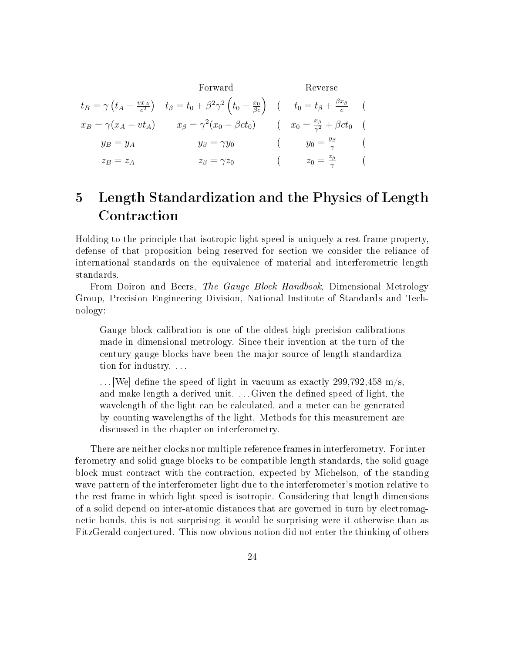Forward Reverse  $t_B = \gamma \left(t_A - \frac{vx_A}{c^2}\right)$  $\left(t_\beta=t_0+\beta^2\gamma^2\left(t_0-\frac{x_0}{\beta c}\right)\right)\;\;\;(\;\;\;\;t_0=t_\beta+\frac{\beta x_\beta}{c})$ c (  $x_B = \gamma(x_A - vt_A)$   $x_\beta = \gamma^2(x_0 - \beta ct_0)$   $(x_0 = \frac{x_\beta}{\gamma^2})$  $rac{x_{\beta}}{\gamma^2} + \beta ct_0$  (  $y_B = y_A$   $y_\beta = \gamma y_0$  (  $y_0 = \frac{y_\beta}{\gamma}$  $\frac{g}{\gamma}$  (  $z_B = z_A$   $z_\beta = \gamma z_0$  (  $z_0 = \frac{z_\beta}{\gamma}$  $rac{z_{\beta}}{\gamma}$  (

## <span id="page-23-0"></span>5 Length Standardization and the Physics of Length Contraction

Holding to the principle that isotropic light speed is uniquely a rest frame property, defense of that proposition being reserved for section we consider the reliance of international standards on the equivalence of material and interferometric length standards.

From Doiron and Beers, The Gauge Block Handbook, Dimensional Metrology Group, Precision Engineering Division, National Institute of Standards and Technology:

Gauge block calibration is one of the oldest high precision calibrations made in dimensional metrology. Since their invention at the turn of the century gauge blocks have been the major source of length standardization for industry. . . .

 $\dots$  [We] define the speed of light in vacuum as exactly 299,792,458 m/s, and make length a derived unit. ... Given the defined speed of light, the wavelength of the light can be calculated, and a meter can be generated by counting wavelengths of the light. Methods for this measurement are discussed in the chapter on interferometry.

There are neither clocks nor multiple reference frames in interferometry. For interferometry and solid guage blocks to be compatible length standards, the solid guage block must contract with the contraction, expected by Michelson, of the standing wave pattern of the interferometer light due to the interferometer's motion relative to the rest frame in which light speed is isotropic. Considering that length dimensions of a solid depend on inter-atomic distances that are governed in turn by electromagnetic bonds, this is not surprising; it would be surprising were it otherwise than as FitzGerald conjectured. This now obvious notion did not enter the thinking of others